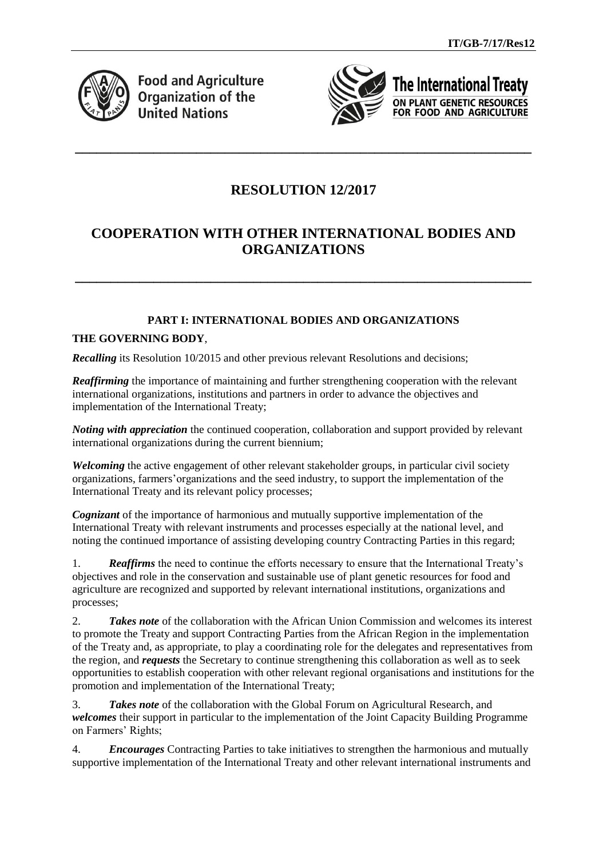

**Food and Agriculture Organization of the United Nations** 



The International Treaty ON PLANT GENETIC RESOURCES FOR FOOD AND AGRICULTURE

# **RESOLUTION 12/2017**

**\_\_\_\_\_\_\_\_\_\_\_\_\_\_\_\_\_\_\_\_\_\_\_\_\_\_\_\_\_\_\_\_\_\_\_\_\_\_\_\_\_\_\_\_\_\_\_\_\_\_\_\_\_\_\_\_\_\_\_\_\_\_\_\_**

# **COOPERATION WITH OTHER INTERNATIONAL BODIES AND ORGANIZATIONS**

**\_\_\_\_\_\_\_\_\_\_\_\_\_\_\_\_\_\_\_\_\_\_\_\_\_\_\_\_\_\_\_\_\_\_\_\_\_\_\_\_\_\_\_\_\_\_\_\_\_\_\_\_\_\_\_\_\_\_\_\_\_\_\_\_**

## **PART I: INTERNATIONAL BODIES AND ORGANIZATIONS**

### **THE GOVERNING BODY**,

*Recalling* its Resolution 10/2015 and other previous relevant Resolutions and decisions;

*Reaffirming* the importance of maintaining and further strengthening cooperation with the relevant international organizations, institutions and partners in order to advance the objectives and implementation of the International Treaty;

*Noting with appreciation* the continued cooperation, collaboration and support provided by relevant international organizations during the current biennium;

*Welcoming* the active engagement of other relevant stakeholder groups, in particular civil society organizations, farmers'organizations and the seed industry, to support the implementation of the International Treaty and its relevant policy processes;

*Cognizant* of the importance of harmonious and mutually supportive implementation of the International Treaty with relevant instruments and processes especially at the national level, and noting the continued importance of assisting developing country Contracting Parties in this regard;

1. *Reaffirms* the need to continue the efforts necessary to ensure that the International Treaty's objectives and role in the conservation and sustainable use of plant genetic resources for food and agriculture are recognized and supported by relevant international institutions, organizations and processes;

2. *Takes note* of the collaboration with the African Union Commission and welcomes its interest to promote the Treaty and support Contracting Parties from the African Region in the implementation of the Treaty and, as appropriate, to play a coordinating role for the delegates and representatives from the region, and *requests* the Secretary to continue strengthening this collaboration as well as to seek opportunities to establish cooperation with other relevant regional organisations and institutions for the promotion and implementation of the International Treaty;

3. *Takes note* of the collaboration with the Global Forum on Agricultural Research, and *welcomes* their support in particular to the implementation of the Joint Capacity Building Programme on Farmers' Rights;

4. *Encourages* Contracting Parties to take initiatives to strengthen the harmonious and mutually supportive implementation of the International Treaty and other relevant international instruments and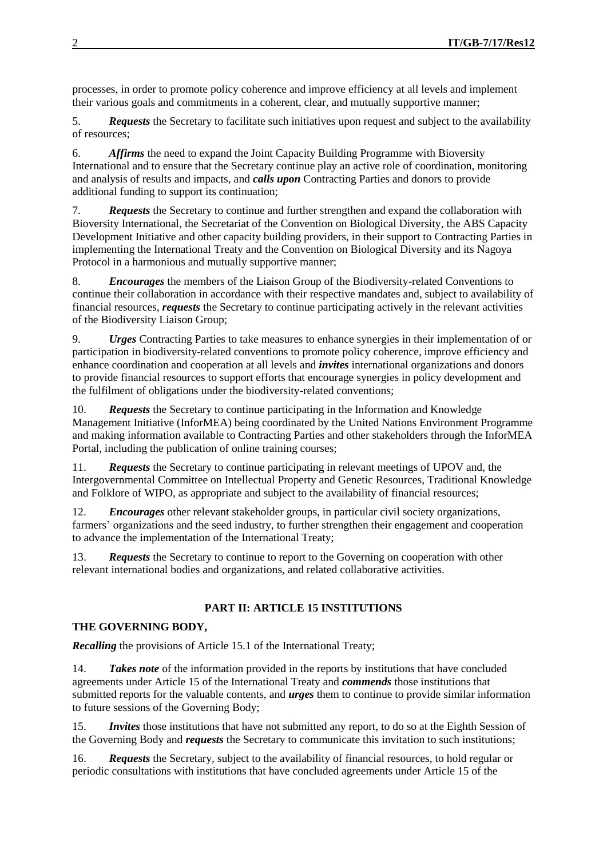processes, in order to promote policy coherence and improve efficiency at all levels and implement their various goals and commitments in a coherent, clear, and mutually supportive manner;

5. *Requests* the Secretary to facilitate such initiatives upon request and subject to the availability of resources;

6. *Affirms* the need to expand the Joint Capacity Building Programme with Bioversity International and to ensure that the Secretary continue play an active role of coordination, monitoring and analysis of results and impacts, and *calls upon* Contracting Parties and donors to provide additional funding to support its continuation;

7. *Requests* the Secretary to continue and further strengthen and expand the collaboration with Bioversity International, the Secretariat of the Convention on Biological Diversity, the ABS Capacity Development Initiative and other capacity building providers, in their support to Contracting Parties in implementing the International Treaty and the Convention on Biological Diversity and its Nagoya Protocol in a harmonious and mutually supportive manner;

8. *Encourages* the members of the Liaison Group of the Biodiversity-related Conventions to continue their collaboration in accordance with their respective mandates and, subject to availability of financial resources, *requests* the Secretary to continue participating actively in the relevant activities of the Biodiversity Liaison Group;

9. *Urges* Contracting Parties to take measures to enhance synergies in their implementation of or participation in biodiversity-related conventions to promote policy coherence, improve efficiency and enhance coordination and cooperation at all levels and *invites* international organizations and donors to provide financial resources to support efforts that encourage synergies in policy development and the fulfilment of obligations under the biodiversity-related conventions;

10. *Requests* the Secretary to continue participating in the Information and Knowledge Management Initiative (InforMEA) being coordinated by the United Nations Environment Programme and making information available to Contracting Parties and other stakeholders through the InforMEA Portal, including the publication of online training courses;

11. *Requests* the Secretary to continue participating in relevant meetings of UPOV and, the Intergovernmental Committee on Intellectual Property and Genetic Resources, Traditional Knowledge and Folklore of WIPO, as appropriate and subject to the availability of financial resources;

12. *Encourages* other relevant stakeholder groups, in particular civil society organizations, farmers' organizations and the seed industry, to further strengthen their engagement and cooperation to advance the implementation of the International Treaty;

13. *Requests* the Secretary to continue to report to the Governing on cooperation with other relevant international bodies and organizations, and related collaborative activities.

## **PART II: ARTICLE 15 INSTITUTIONS**

### **THE GOVERNING BODY,**

*Recalling* the provisions of Article 15.1 of the International Treaty;

14. **Takes note** of the information provided in the reports by institutions that have concluded agreements under Article 15 of the International Treaty and *commends* those institutions that submitted reports for the valuable contents, and *urges* them to continue to provide similar information to future sessions of the Governing Body;

15. *Invites* those institutions that have not submitted any report, to do so at the Eighth Session of the Governing Body and *requests* the Secretary to communicate this invitation to such institutions;

16. *Requests* the Secretary, subject to the availability of financial resources, to hold regular or periodic consultations with institutions that have concluded agreements under Article 15 of the